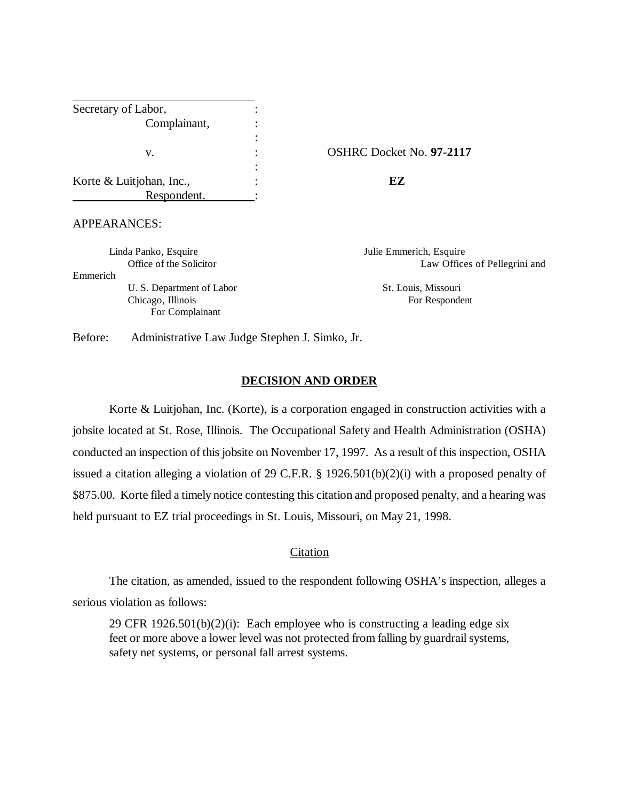| Secretary of Labor,      |                     |
|--------------------------|---------------------|
| Complainant,             |                     |
|                          |                     |
| v.                       | <b>OSHRC</b> Docket |
|                          |                     |
| Korte & Luitjohan, Inc., | F7                  |
| Respondent.              |                     |

#### v. : OSHRC Docket No. **97-2117**

## APPEARANCES:

Linda Panko, Esquire Julie Emmerich, Esquire

Emmerich

U. S. Department of Labor St. Louis, Missouri Chicago, Illinois For Respondent For Complainant

Office of the Solicitor **Law Offices** of Pellegrini and

Before: Administrative Law Judge Stephen J. Simko, Jr.

## **DECISION AND ORDER**

Korte & Luitjohan, Inc. (Korte), is a corporation engaged in construction activities with a jobsite located at St. Rose, Illinois. The Occupational Safety and Health Administration (OSHA) conducted an inspection of this jobsite on November 17, 1997. As a result of this inspection, OSHA issued a citation alleging a violation of 29 C.F.R. § 1926.501(b)(2)(i) with a proposed penalty of \$875.00. Korte filed a timely notice contesting this citation and proposed penalty, and a hearing was held pursuant to EZ trial proceedings in St. Louis, Missouri, on May 21, 1998.

#### Citation

The citation, as amended, issued to the respondent following OSHA's inspection, alleges a serious violation as follows:

29 CFR  $1926.501(b)(2)(i)$ : Each employee who is constructing a leading edge six feet or more above a lower level was not protected from falling by guardrail systems, safety net systems, or personal fall arrest systems.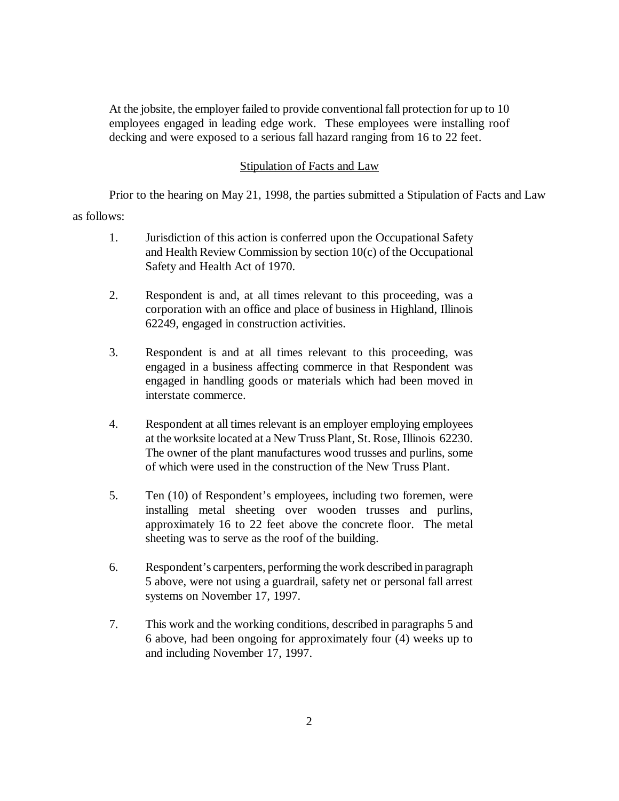At the jobsite, the employer failed to provide conventional fall protection for up to 10 employees engaged in leading edge work. These employees were installing roof decking and were exposed to a serious fall hazard ranging from 16 to 22 feet.

# Stipulation of Facts and Law

Prior to the hearing on May 21, 1998, the parties submitted a Stipulation of Facts and Law

as follows:

- 1. Jurisdiction of this action is conferred upon the Occupational Safety and Health Review Commission by section 10(c) of the Occupational Safety and Health Act of 1970.
- 2. Respondent is and, at all times relevant to this proceeding, was a corporation with an office and place of business in Highland, Illinois 62249, engaged in construction activities.
- 3. Respondent is and at all times relevant to this proceeding, was engaged in a business affecting commerce in that Respondent was engaged in handling goods or materials which had been moved in interstate commerce.
- 4. Respondent at all times relevant is an employer employing employees at the worksite located at a New Truss Plant, St. Rose, Illinois 62230. The owner of the plant manufactures wood trusses and purlins, some of which were used in the construction of the New Truss Plant.
- 5. Ten (10) of Respondent's employees, including two foremen, were installing metal sheeting over wooden trusses and purlins, approximately 16 to 22 feet above the concrete floor. The metal sheeting was to serve as the roof of the building.
- 6. Respondent's carpenters, performing the work described in paragraph 5 above, were not using a guardrail, safety net or personal fall arrest systems on November 17, 1997.
- 7. This work and the working conditions, described in paragraphs 5 and 6 above, had been ongoing for approximately four (4) weeks up to and including November 17, 1997.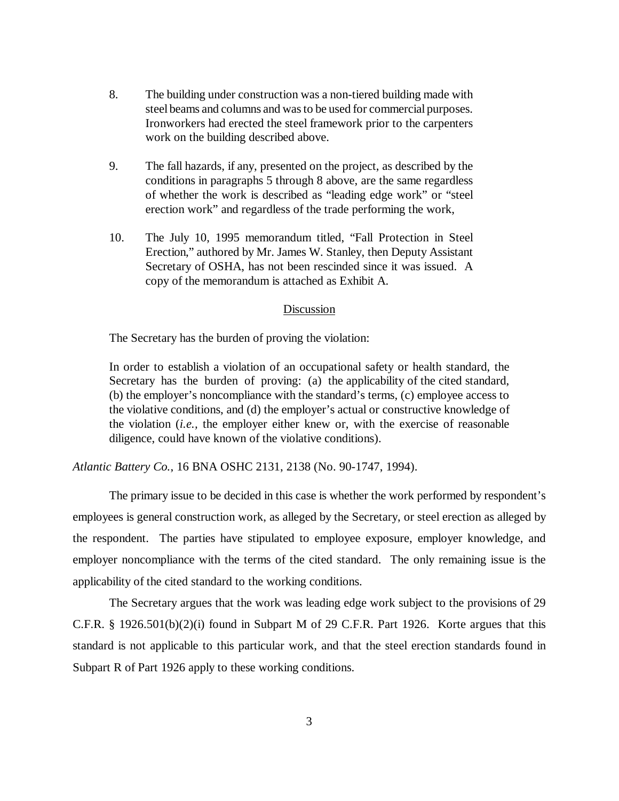- 8. The building under construction was a non-tiered building made with steel beams and columns and was to be used for commercial purposes. Ironworkers had erected the steel framework prior to the carpenters work on the building described above.
- 9. The fall hazards, if any, presented on the project, as described by the conditions in paragraphs 5 through 8 above, are the same regardless of whether the work is described as "leading edge work" or "steel erection work" and regardless of the trade performing the work,
- 10. The July 10, 1995 memorandum titled, "Fall Protection in Steel Erection," authored by Mr. James W. Stanley, then Deputy Assistant Secretary of OSHA, has not been rescinded since it was issued. A copy of the memorandum is attached as Exhibit A.

## Discussion

The Secretary has the burden of proving the violation:

In order to establish a violation of an occupational safety or health standard, the Secretary has the burden of proving: (a) the applicability of the cited standard, (b) the employer's noncompliance with the standard's terms, (c) employee access to the violative conditions, and (d) the employer's actual or constructive knowledge of the violation (*i.e.,* the employer either knew or, with the exercise of reasonable diligence, could have known of the violative conditions).

*Atlantic Battery Co.*, 16 BNA OSHC 2131, 2138 (No. 90-1747, 1994).

The primary issue to be decided in this case is whether the work performed by respondent's employees is general construction work, as alleged by the Secretary, or steel erection as alleged by the respondent. The parties have stipulated to employee exposure, employer knowledge, and employer noncompliance with the terms of the cited standard. The only remaining issue is the applicability of the cited standard to the working conditions.

The Secretary argues that the work was leading edge work subject to the provisions of 29 C.F.R. § 1926.501(b)(2)(i) found in Subpart M of 29 C.F.R. Part 1926. Korte argues that this standard is not applicable to this particular work, and that the steel erection standards found in Subpart R of Part 1926 apply to these working conditions.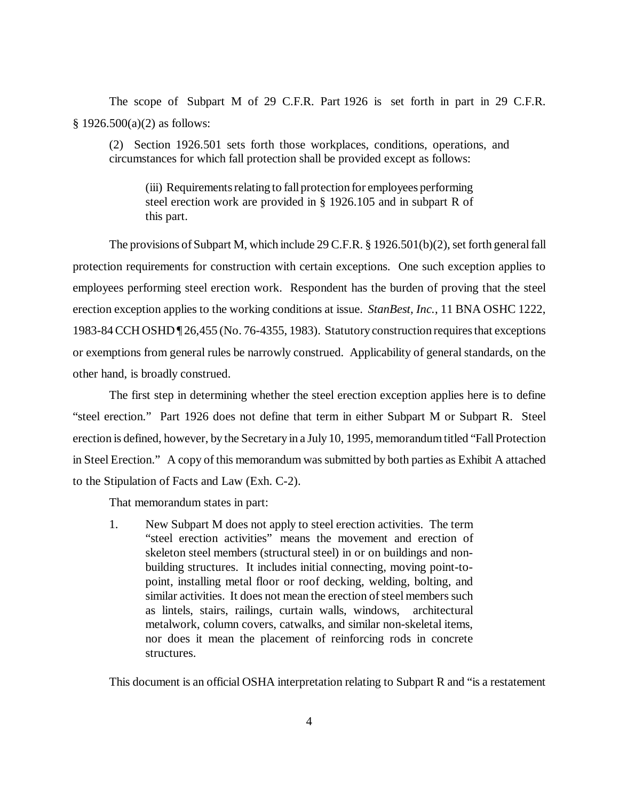The scope of Subpart M of 29 C.F.R. Part 1926 is set forth in part in 29 C.F.R.  $$ 1926.500(a)(2)$  as follows:

(2) Section 1926.501 sets forth those workplaces, conditions, operations, and circumstances for which fall protection shall be provided except as follows:

(iii) Requirements relating to fall protection for employees performing steel erection work are provided in § 1926.105 and in subpart R of this part.

The provisions of Subpart M, which include 29 C.F.R. § 1926.501(b)(2), set forth general fall protection requirements for construction with certain exceptions. One such exception applies to employees performing steel erection work. Respondent has the burden of proving that the steel erection exception applies to the working conditions at issue. *StanBest, Inc.*, 11 BNA OSHC 1222, 1983-84 CCH OSHD ¶ 26,455 (No. 76-4355, 1983). Statutory construction requires that exceptions or exemptions from general rules be narrowly construed. Applicability of general standards, on the other hand, is broadly construed.

The first step in determining whether the steel erection exception applies here is to define "steel erection." Part 1926 does not define that term in either Subpart M or Subpart R. Steel erection is defined, however, by the Secretary in a July 10, 1995, memorandum titled "Fall Protection in Steel Erection." A copy of this memorandum was submitted by both parties as Exhibit A attached to the Stipulation of Facts and Law (Exh. C-2).

That memorandum states in part:

1. New Subpart M does not apply to steel erection activities. The term "steel erection activities" means the movement and erection of skeleton steel members (structural steel) in or on buildings and nonbuilding structures. It includes initial connecting, moving point-topoint, installing metal floor or roof decking, welding, bolting, and similar activities. It does not mean the erection of steel members such as lintels, stairs, railings, curtain walls, windows, architectural metalwork, column covers, catwalks, and similar non-skeletal items, nor does it mean the placement of reinforcing rods in concrete structures.

This document is an official OSHA interpretation relating to Subpart R and "is a restatement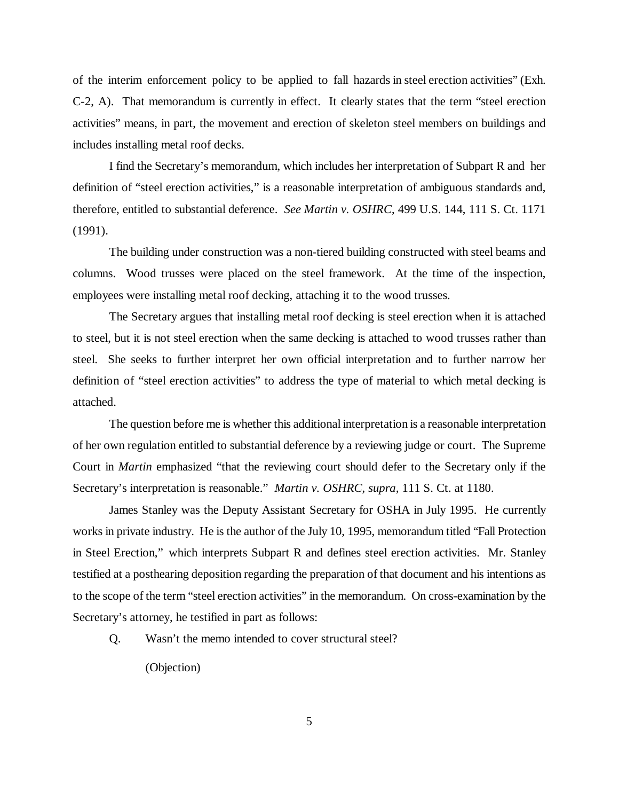of the interim enforcement policy to be applied to fall hazards in steel erection activities" (Exh. C-2, A). That memorandum is currently in effect. It clearly states that the term "steel erection activities" means, in part, the movement and erection of skeleton steel members on buildings and includes installing metal roof decks.

I find the Secretary's memorandum, which includes her interpretation of Subpart R and her definition of "steel erection activities," is a reasonable interpretation of ambiguous standards and, therefore, entitled to substantial deference. *See Martin v. OSHRC*, 499 U.S. 144, 111 S. Ct. 1171 (1991).

The building under construction was a non-tiered building constructed with steel beams and columns. Wood trusses were placed on the steel framework. At the time of the inspection, employees were installing metal roof decking, attaching it to the wood trusses.

The Secretary argues that installing metal roof decking is steel erection when it is attached to steel, but it is not steel erection when the same decking is attached to wood trusses rather than steel. She seeks to further interpret her own official interpretation and to further narrow her definition of "steel erection activities" to address the type of material to which metal decking is attached.

The question before me is whether this additional interpretation is a reasonable interpretation of her own regulation entitled to substantial deference by a reviewing judge or court. The Supreme Court in *Martin* emphasized "that the reviewing court should defer to the Secretary only if the Secretary's interpretation is reasonable." *Martin v. OSHRC, supra,* 111 S. Ct. at 1180.

James Stanley was the Deputy Assistant Secretary for OSHA in July 1995. He currently works in private industry. He is the author of the July 10, 1995, memorandum titled "Fall Protection in Steel Erection," which interprets Subpart R and defines steel erection activities. Mr. Stanley testified at a posthearing deposition regarding the preparation of that document and his intentions as to the scope of the term "steel erection activities" in the memorandum. On cross-examination by the Secretary's attorney, he testified in part as follows:

Q. Wasn't the memo intended to cover structural steel?

(Objection)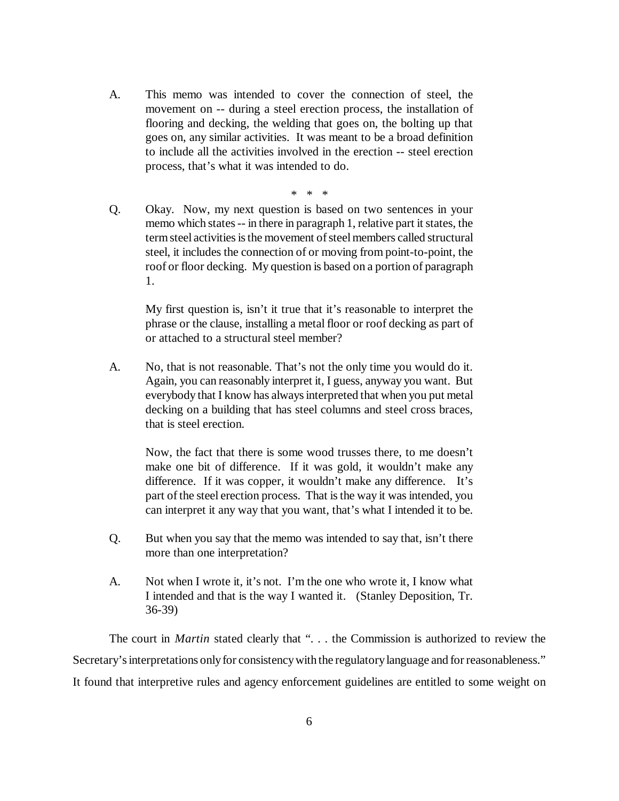A. This memo was intended to cover the connection of steel, the movement on -- during a steel erection process, the installation of flooring and decking, the welding that goes on, the bolting up that goes on, any similar activities. It was meant to be a broad definition to include all the activities involved in the erection -- steel erection process, that's what it was intended to do.

\* \* \*

Q. Okay. Now, my next question is based on two sentences in your memo which states -- in there in paragraph 1, relative part it states, the term steel activities is the movement of steel members called structural steel, it includes the connection of or moving from point-to-point, the roof or floor decking. My question is based on a portion of paragraph 1.

My first question is, isn't it true that it's reasonable to interpret the phrase or the clause, installing a metal floor or roof decking as part of or attached to a structural steel member?

A. No, that is not reasonable. That's not the only time you would do it. Again, you can reasonably interpret it, I guess, anyway you want. But everybody that I know has always interpreted that when you put metal decking on a building that has steel columns and steel cross braces, that is steel erection.

Now, the fact that there is some wood trusses there, to me doesn't make one bit of difference. If it was gold, it wouldn't make any difference. If it was copper, it wouldn't make any difference. It's part of the steel erection process. That is the way it was intended, you can interpret it any way that you want, that's what I intended it to be.

- Q. But when you say that the memo was intended to say that, isn't there more than one interpretation?
- A. Not when I wrote it, it's not. I'm the one who wrote it, I know what I intended and that is the way I wanted it. (Stanley Deposition, Tr. 36-39)

The court in *Martin* stated clearly that ". . . the Commission is authorized to review the Secretary's interpretations only for consistency with the regulatory language and for reasonableness." It found that interpretive rules and agency enforcement guidelines are entitled to some weight on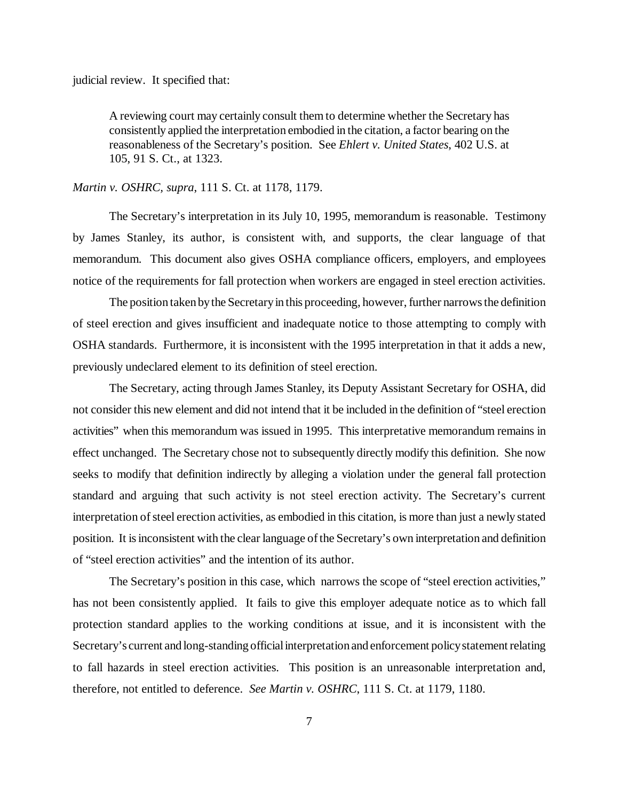judicial review. It specified that:

A reviewing court may certainly consult them to determine whether the Secretary has consistently applied the interpretation embodied in the citation, a factor bearing on the reasonableness of the Secretary's position. See *Ehlert v. United States*, 402 U.S. at 105, 91 S. Ct., at 1323.

### *Martin v. OSHRC, supra*, 111 S. Ct. at 1178, 1179.

The Secretary's interpretation in its July 10, 1995, memorandum is reasonable. Testimony by James Stanley, its author, is consistent with, and supports, the clear language of that memorandum. This document also gives OSHA compliance officers, employers, and employees notice of the requirements for fall protection when workers are engaged in steel erection activities.

The position taken by the Secretary in this proceeding, however, further narrows the definition of steel erection and gives insufficient and inadequate notice to those attempting to comply with OSHA standards. Furthermore, it is inconsistent with the 1995 interpretation in that it adds a new, previously undeclared element to its definition of steel erection.

The Secretary, acting through James Stanley, its Deputy Assistant Secretary for OSHA, did not consider this new element and did not intend that it be included in the definition of "steel erection activities" when this memorandum was issued in 1995. This interpretative memorandum remains in effect unchanged. The Secretary chose not to subsequently directly modify this definition. She now seeks to modify that definition indirectly by alleging a violation under the general fall protection standard and arguing that such activity is not steel erection activity. The Secretary's current interpretation of steel erection activities, as embodied in this citation, is more than just a newly stated position. It is inconsistent with the clear language of the Secretary's own interpretation and definition of "steel erection activities" and the intention of its author.

The Secretary's position in this case, which narrows the scope of "steel erection activities," has not been consistently applied. It fails to give this employer adequate notice as to which fall protection standard applies to the working conditions at issue, and it is inconsistent with the Secretary's current and long-standing official interpretation and enforcement policy statement relating to fall hazards in steel erection activities. This position is an unreasonable interpretation and, therefore, not entitled to deference. *See Martin v. OSHRC*, 111 S. Ct. at 1179, 1180.